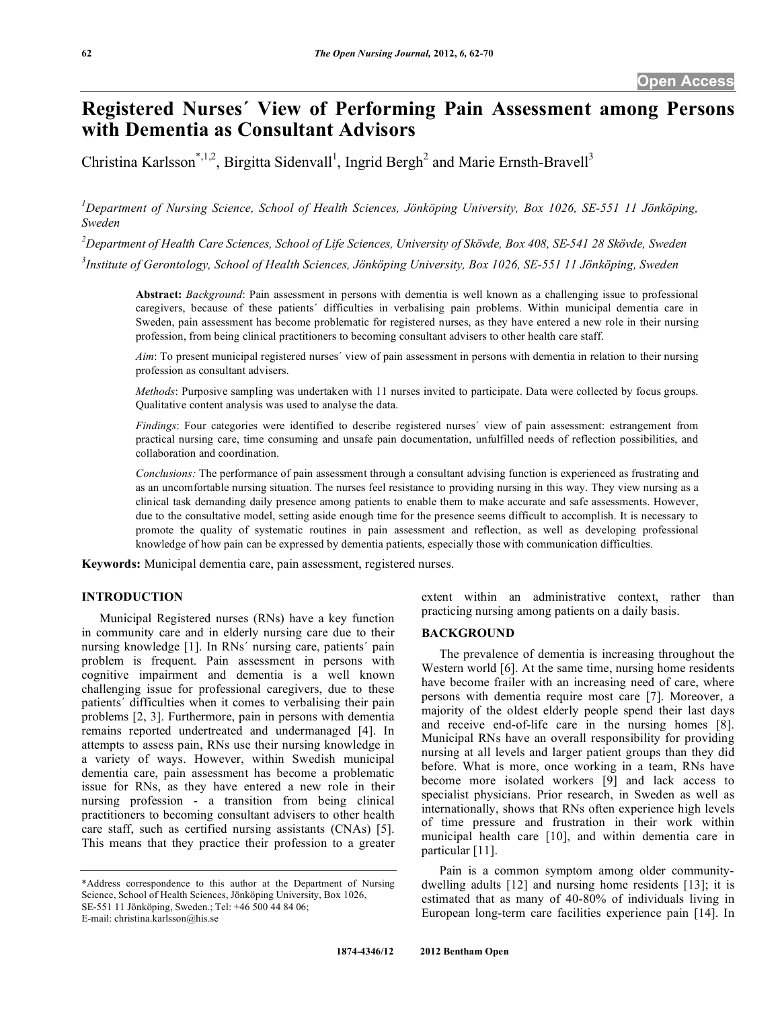# **Registered Nurses´ View of Performing Pain Assessment among Persons with Dementia as Consultant Advisors**

Christina Karlsson\*,<sup>1,2</sup>, Birgitta Sidenvall<sup>1</sup>, Ingrid Bergh<sup>2</sup> and Marie Ernsth-Bravell<sup>3</sup>

*1 Department of Nursing Science, School of Health Sciences, Jönköping University, Box 1026, SE-551 11 Jönköping, Sweden* 

*2 Department of Health Care Sciences, School of Life Sciences, University of Skövde, Box 408, SE-541 28 Skövde, Sweden* 

*3 Institute of Gerontology, School of Health Sciences, Jönköping University, Box 1026, SE-551 11 Jönköping, Sweden* 

**Abstract:** *Background*: Pain assessment in persons with dementia is well known as a challenging issue to professional caregivers, because of these patients´ difficulties in verbalising pain problems. Within municipal dementia care in Sweden, pain assessment has become problematic for registered nurses, as they have entered a new role in their nursing profession, from being clinical practitioners to becoming consultant advisers to other health care staff.

*Aim*: To present municipal registered nurses´ view of pain assessment in persons with dementia in relation to their nursing profession as consultant advisers.

*Methods*: Purposive sampling was undertaken with 11 nurses invited to participate. Data were collected by focus groups. Qualitative content analysis was used to analyse the data.

*Findings*: Four categories were identified to describe registered nurses´ view of pain assessment: estrangement from practical nursing care, time consuming and unsafe pain documentation, unfulfilled needs of reflection possibilities, and collaboration and coordination.

*Conclusions:* The performance of pain assessment through a consultant advising function is experienced as frustrating and as an uncomfortable nursing situation. The nurses feel resistance to providing nursing in this way. They view nursing as a clinical task demanding daily presence among patients to enable them to make accurate and safe assessments. However, due to the consultative model, setting aside enough time for the presence seems difficult to accomplish. It is necessary to promote the quality of systematic routines in pain assessment and reflection, as well as developing professional knowledge of how pain can be expressed by dementia patients, especially those with communication difficulties.

**Keywords:** Municipal dementia care, pain assessment, registered nurses.

# **INTRODUCTION**

 Municipal Registered nurses (RNs) have a key function in community care and in elderly nursing care due to their nursing knowledge [1]. In RNs´ nursing care, patients´ pain problem is frequent. Pain assessment in persons with cognitive impairment and dementia is a well known challenging issue for professional caregivers, due to these patients´ difficulties when it comes to verbalising their pain problems [2, 3]. Furthermore, pain in persons with dementia remains reported undertreated and undermanaged [4]. In attempts to assess pain, RNs use their nursing knowledge in a variety of ways. However, within Swedish municipal dementia care, pain assessment has become a problematic issue for RNs, as they have entered a new role in their nursing profession - a transition from being clinical practitioners to becoming consultant advisers to other health care staff, such as certified nursing assistants (CNAs) [5]. This means that they practice their profession to a greater

extent within an administrative context, rather than practicing nursing among patients on a daily basis.

#### **BACKGROUND**

 The prevalence of dementia is increasing throughout the Western world [6]. At the same time, nursing home residents have become frailer with an increasing need of care, where persons with dementia require most care [7]. Moreover, a majority of the oldest elderly people spend their last days and receive end-of-life care in the nursing homes [8]. Municipal RNs have an overall responsibility for providing nursing at all levels and larger patient groups than they did before. What is more, once working in a team, RNs have become more isolated workers [9] and lack access to specialist physicians. Prior research, in Sweden as well as internationally, shows that RNs often experience high levels of time pressure and frustration in their work within municipal health care [10], and within dementia care in particular [11].

 Pain is a common symptom among older communitydwelling adults [12] and nursing home residents [13]; it is estimated that as many of 40-80% of individuals living in European long-term care facilities experience pain [14]. In

<sup>\*</sup>Address correspondence to this author at the Department of Nursing Science, School of Health Sciences, Jönköping University, Box 1026, SE-551 11 Jönköping, Sweden.; Tel: +46 500 44 84 06; E-mail: christina.karlsson@his.se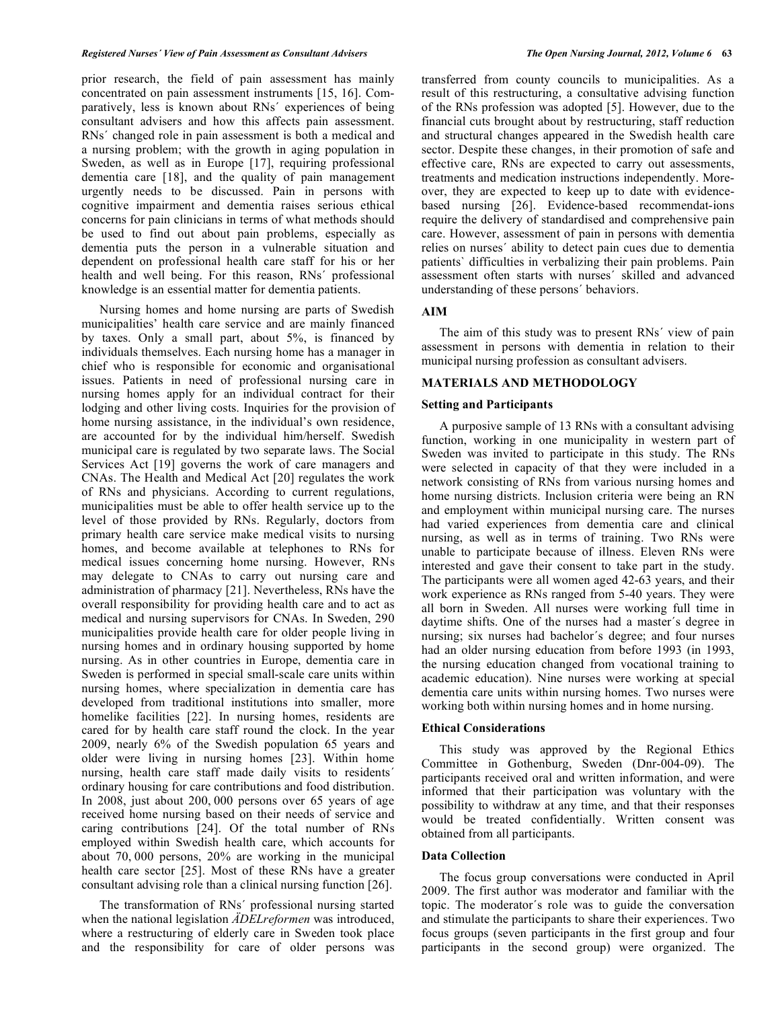prior research, the field of pain assessment has mainly concentrated on pain assessment instruments [15, 16]. Comparatively, less is known about RNs´ experiences of being consultant advisers and how this affects pain assessment. RNs´ changed role in pain assessment is both a medical and a nursing problem; with the growth in aging population in Sweden, as well as in Europe [17], requiring professional dementia care [18], and the quality of pain management urgently needs to be discussed. Pain in persons with cognitive impairment and dementia raises serious ethical concerns for pain clinicians in terms of what methods should be used to find out about pain problems, especially as dementia puts the person in a vulnerable situation and dependent on professional health care staff for his or her health and well being. For this reason, RNs´ professional knowledge is an essential matter for dementia patients.

 Nursing homes and home nursing are parts of Swedish municipalities' health care service and are mainly financed by taxes. Only a small part, about 5%, is financed by individuals themselves. Each nursing home has a manager in chief who is responsible for economic and organisational issues. Patients in need of professional nursing care in nursing homes apply for an individual contract for their lodging and other living costs. Inquiries for the provision of home nursing assistance, in the individual's own residence, are accounted for by the individual him/herself. Swedish municipal care is regulated by two separate laws. The Social Services Act [19] governs the work of care managers and CNAs. The Health and Medical Act [20] regulates the work of RNs and physicians. According to current regulations, municipalities must be able to offer health service up to the level of those provided by RNs. Regularly, doctors from primary health care service make medical visits to nursing homes, and become available at telephones to RNs for medical issues concerning home nursing. However, RNs may delegate to CNAs to carry out nursing care and administration of pharmacy [21]. Nevertheless, RNs have the overall responsibility for providing health care and to act as medical and nursing supervisors for CNAs. In Sweden, 290 municipalities provide health care for older people living in nursing homes and in ordinary housing supported by home nursing. As in other countries in Europe, dementia care in Sweden is performed in special small-scale care units within nursing homes, where specialization in dementia care has developed from traditional institutions into smaller, more homelike facilities [22]. In nursing homes, residents are cared for by health care staff round the clock. In the year 2009, nearly 6% of the Swedish population 65 years and older were living in nursing homes [23]. Within home nursing, health care staff made daily visits to residents' ordinary housing for care contributions and food distribution. In 2008, just about 200, 000 persons over 65 years of age received home nursing based on their needs of service and caring contributions [24]. Of the total number of RNs employed within Swedish health care, which accounts for about 70, 000 persons, 20% are working in the municipal health care sector [25]. Most of these RNs have a greater consultant advising role than a clinical nursing function [26].

 The transformation of RNs´ professional nursing started when the national legislation *ÄDELreformen* was introduced, where a restructuring of elderly care in Sweden took place and the responsibility for care of older persons was transferred from county councils to municipalities. As a result of this restructuring, a consultative advising function of the RNs profession was adopted [5]. However, due to the financial cuts brought about by restructuring, staff reduction and structural changes appeared in the Swedish health care sector. Despite these changes, in their promotion of safe and effective care, RNs are expected to carry out assessments, treatments and medication instructions independently. Moreover, they are expected to keep up to date with evidencebased nursing [26]. Evidence-based recommendat-ions require the delivery of standardised and comprehensive pain care. However, assessment of pain in persons with dementia relies on nurses´ ability to detect pain cues due to dementia patients` difficulties in verbalizing their pain problems. Pain assessment often starts with nurses´ skilled and advanced understanding of these persons´ behaviors.

#### **AIM**

 The aim of this study was to present RNs´ view of pain assessment in persons with dementia in relation to their municipal nursing profession as consultant advisers.

#### **MATERIALS AND METHODOLOGY**

### **Setting and Participants**

 A purposive sample of 13 RNs with a consultant advising function, working in one municipality in western part of Sweden was invited to participate in this study. The RNs were selected in capacity of that they were included in a network consisting of RNs from various nursing homes and home nursing districts. Inclusion criteria were being an RN and employment within municipal nursing care. The nurses had varied experiences from dementia care and clinical nursing, as well as in terms of training. Two RNs were unable to participate because of illness. Eleven RNs were interested and gave their consent to take part in the study. The participants were all women aged 42-63 years, and their work experience as RNs ranged from 5-40 years. They were all born in Sweden. All nurses were working full time in daytime shifts. One of the nurses had a master´s degree in nursing; six nurses had bachelor´s degree; and four nurses had an older nursing education from before 1993 (in 1993, the nursing education changed from vocational training to academic education). Nine nurses were working at special dementia care units within nursing homes. Two nurses were working both within nursing homes and in home nursing.

#### **Ethical Considerations**

 This study was approved by the Regional Ethics Committee in Gothenburg, Sweden (Dnr-004-09). The participants received oral and written information, and were informed that their participation was voluntary with the possibility to withdraw at any time, and that their responses would be treated confidentially. Written consent was obtained from all participants.

#### **Data Collection**

 The focus group conversations were conducted in April 2009. The first author was moderator and familiar with the topic. The moderator´s role was to guide the conversation and stimulate the participants to share their experiences. Two focus groups (seven participants in the first group and four participants in the second group) were organized. The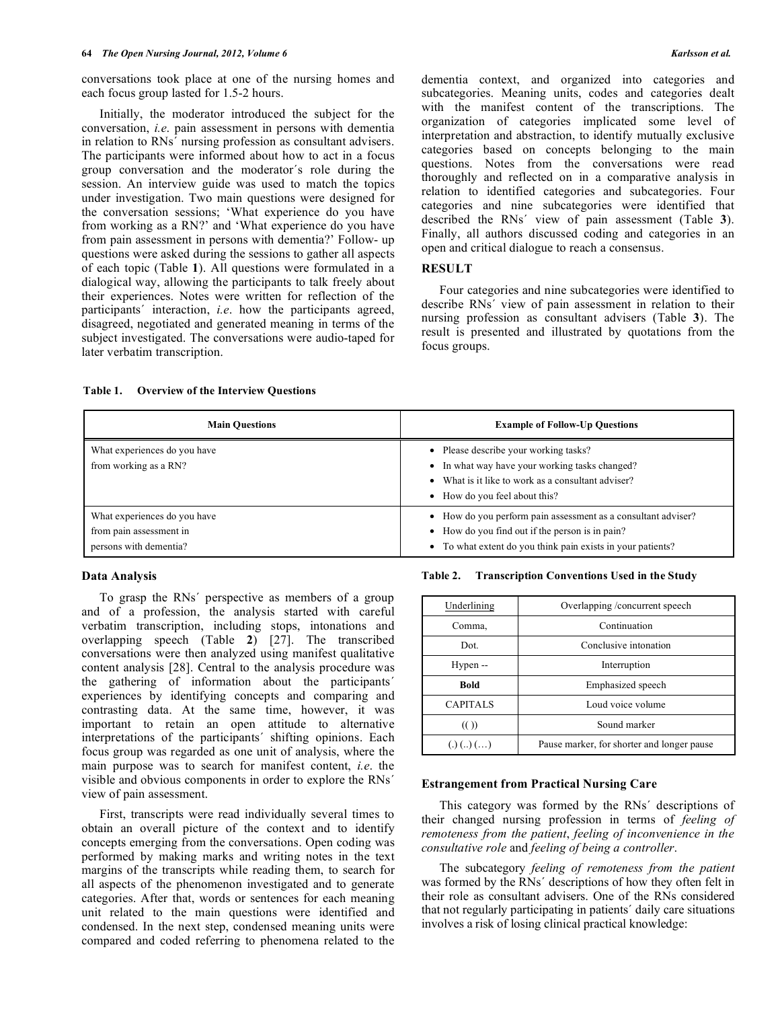conversations took place at one of the nursing homes and each focus group lasted for 1.5-2 hours.

 Initially, the moderator introduced the subject for the conversation, *i.e*. pain assessment in persons with dementia in relation to RNs´ nursing profession as consultant advisers. The participants were informed about how to act in a focus group conversation and the moderator´s role during the session. An interview guide was used to match the topics under investigation. Two main questions were designed for the conversation sessions; 'What experience do you have from working as a RN?' and 'What experience do you have from pain assessment in persons with dementia?' Follow- up questions were asked during the sessions to gather all aspects of each topic (Table **1**). All questions were formulated in a dialogical way, allowing the participants to talk freely about their experiences. Notes were written for reflection of the participants´ interaction, *i.e*. how the participants agreed, disagreed, negotiated and generated meaning in terms of the subject investigated. The conversations were audio-taped for later verbatim transcription.

dementia context, and organized into categories and subcategories. Meaning units, codes and categories dealt with the manifest content of the transcriptions. The organization of categories implicated some level of interpretation and abstraction, to identify mutually exclusive categories based on concepts belonging to the main questions. Notes from the conversations were read thoroughly and reflected on in a comparative analysis in relation to identified categories and subcategories. Four categories and nine subcategories were identified that described the RNs´ view of pain assessment (Table **3**). Finally, all authors discussed coding and categories in an open and critical dialogue to reach a consensus.

# **RESULT**

 Four categories and nine subcategories were identified to describe RNs´ view of pain assessment in relation to their nursing profession as consultant advisers (Table **3**). The result is presented and illustrated by quotations from the focus groups.

| <b>Main Ouestions</b>                                                             | <b>Example of Follow-Up Questions</b>                                                                                                                                           |
|-----------------------------------------------------------------------------------|---------------------------------------------------------------------------------------------------------------------------------------------------------------------------------|
| What experiences do you have<br>from working as a RN?                             | • Please describe your working tasks?<br>• In what way have your working tasks changed?<br>What is it like to work as a consultant adviser?<br>• How do you feel about this?    |
| What experiences do you have<br>from pain assessment in<br>persons with dementia? | • How do you perform pain assessment as a consultant adviser?<br>• How do you find out if the person is in pain?<br>• To what extent do you think pain exists in your patients? |

#### **Table 1. Overview of the Interview Questions**

#### **Data Analysis**

 To grasp the RNs´ perspective as members of a group and of a profession, the analysis started with careful verbatim transcription, including stops, intonations and overlapping speech (Table **2**) [27]. The transcribed conversations were then analyzed using manifest qualitative content analysis [28]. Central to the analysis procedure was the gathering of information about the participants´ experiences by identifying concepts and comparing and contrasting data. At the same time, however, it was important to retain an open attitude to alternative interpretations of the participants´ shifting opinions. Each focus group was regarded as one unit of analysis, where the main purpose was to search for manifest content, *i.e*. the visible and obvious components in order to explore the RNs´ view of pain assessment.

 First, transcripts were read individually several times to obtain an overall picture of the context and to identify concepts emerging from the conversations. Open coding was performed by making marks and writing notes in the text margins of the transcripts while reading them, to search for all aspects of the phenomenon investigated and to generate categories. After that, words or sentences for each meaning unit related to the main questions were identified and condensed. In the next step, condensed meaning units were compared and coded referring to phenomena related to the

**Table 2. Transcription Conventions Used in the Study** 

| Underlining                 | Overlapping /concurrent speech             |  |  |
|-----------------------------|--------------------------------------------|--|--|
| Comma,                      | Continuation                               |  |  |
| Dot.                        | Conclusive intonation                      |  |  |
| Hypen --                    | Interruption                               |  |  |
| <b>Bold</b>                 | Emphasized speech                          |  |  |
| <b>CAPITALS</b>             | Loud voice volume                          |  |  |
| $\left(\binom{1}{2}\right)$ | Sound marker                               |  |  |
| (.) (.) (.) (.)             | Pause marker, for shorter and longer pause |  |  |

#### **Estrangement from Practical Nursing Care**

 This category was formed by the RNs´ descriptions of their changed nursing profession in terms of *feeling of remoteness from the patient*, *feeling of inconvenience in the consultative role* and *feeling of being a controller*.

 The subcategory *feeling of remoteness from the patient*  was formed by the RNs´ descriptions of how they often felt in their role as consultant advisers. One of the RNs considered that not regularly participating in patients´ daily care situations involves a risk of losing clinical practical knowledge: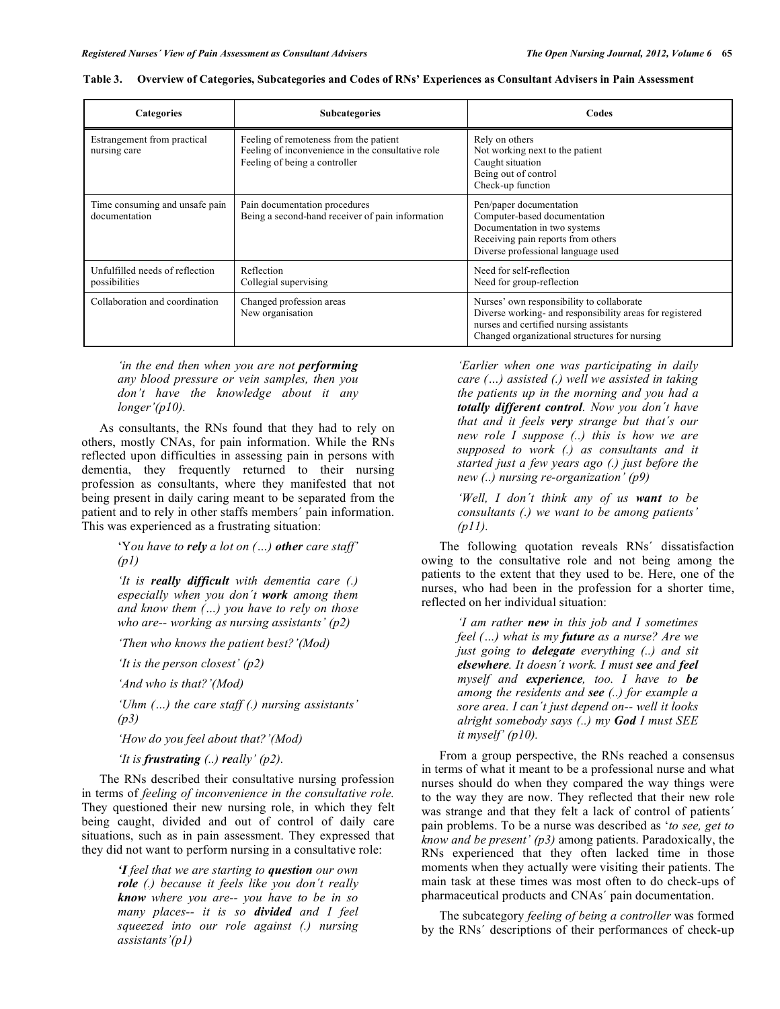| <b>Categories</b>                                | <b>Subcategories</b>                                                                                                         | Codes                                                                                                                                                                                             |  |  |
|--------------------------------------------------|------------------------------------------------------------------------------------------------------------------------------|---------------------------------------------------------------------------------------------------------------------------------------------------------------------------------------------------|--|--|
| Estrangement from practical<br>nursing care      | Feeling of remoteness from the patient<br>Feeling of inconvenience in the consultative role<br>Feeling of being a controller | Rely on others<br>Not working next to the patient<br>Caught situation<br>Being out of control<br>Check-up function                                                                                |  |  |
| Time consuming and unsafe pain<br>documentation  | Pain documentation procedures<br>Being a second-hand receiver of pain information                                            | Pen/paper documentation<br>Computer-based documentation<br>Documentation in two systems<br>Receiving pain reports from others<br>Diverse professional language used                               |  |  |
| Unfulfilled needs of reflection<br>possibilities | Reflection<br>Collegial supervising                                                                                          | Need for self-reflection<br>Need for group-reflection                                                                                                                                             |  |  |
| Collaboration and coordination                   | Changed profession areas<br>New organisation                                                                                 | Nurses' own responsibility to collaborate<br>Diverse working- and responsibility areas for registered<br>nurses and certified nursing assistants<br>Changed organizational structures for nursing |  |  |

| Table 3. Overview of Categories, Subcategories and Codes of RNs' Experiences as Consultant Advisers in Pain Assessment |  |  |  |
|------------------------------------------------------------------------------------------------------------------------|--|--|--|
|                                                                                                                        |  |  |  |

*'in the end then when you are not performing any blood pressure or vein samples, then you don't have the knowledge about it any longer'(p10).* 

As consultants, the RNs found that they had to rely on others, mostly CNAs, for pain information. While the RNs reflected upon difficulties in assessing pain in persons with dementia, they frequently returned to their nursing profession as consultants, where they manifested that not being present in daily caring meant to be separated from the patient and to rely in other staffs members´ pain information. This was experienced as a frustrating situation:

> 'Y*ou have to rely a lot on (…) other care staff' (p1)*

> *'It is really difficult with dementia care (.) especially when you don´t work among them and know them (…) you have to rely on those who are-- working as nursing assistants' (p2)*

*'Then who knows the patient best?'(Mod)* 

*'It is the person closest' (p2)* 

*'And who is that?'(Mod)* 

*'Uhm (…) the care staff (.) nursing assistants' (p3)* 

*'How do you feel about that?'(Mod)* 

*'It is frustrating (..) really' (p2).* 

 The RNs described their consultative nursing profession in terms of *feeling of inconvenience in the consultative role.*  They questioned their new nursing role, in which they felt being caught, divided and out of control of daily care situations, such as in pain assessment. They expressed that they did not want to perform nursing in a consultative role:

> *'I feel that we are starting to question our own role (.) because it feels like you don´t really know where you are-- you have to be in so many places-- it is so divided and I feel squeezed into our role against (.) nursing assistants'(p1)*

*'Earlier when one was participating in daily care (…) assisted (.) well we assisted in taking the patients up in the morning and you had a totally different control. Now you don´t have that and it feels very strange but that´s our new role I suppose (..) this is how we are supposed to work (.) as consultants and it started just a few years ago (.) just before the new (..) nursing re-organization' (p9)* 

*'Well, I don´t think any of us want to be consultants (.) we want to be among patients' (p11).* 

 The following quotation reveals RNs´ dissatisfaction owing to the consultative role and not being among the patients to the extent that they used to be. Here, one of the nurses, who had been in the profession for a shorter time, reflected on her individual situation:

> *'I am rather new in this job and I sometimes feel (…) what is my future as a nurse? Are we just going to delegate everything (..) and sit elsewhere. It doesn´t work. I must see and feel myself and experience, too. I have to be among the residents and see (..) for example a sore area. I can´t just depend on-- well it looks alright somebody says (..) my God I must SEE it myself' (p10).*

 From a group perspective, the RNs reached a consensus in terms of what it meant to be a professional nurse and what nurses should do when they compared the way things were to the way they are now. They reflected that their new role was strange and that they felt a lack of control of patients' pain problems. To be a nurse was described as '*to see, get to know and be present' (p3)* among patients. Paradoxically, the RNs experienced that they often lacked time in those moments when they actually were visiting their patients. The main task at these times was most often to do check-ups of pharmaceutical products and CNAs´ pain documentation.

 The subcategory *feeling of being a controller* was formed by the RNs´ descriptions of their performances of check-up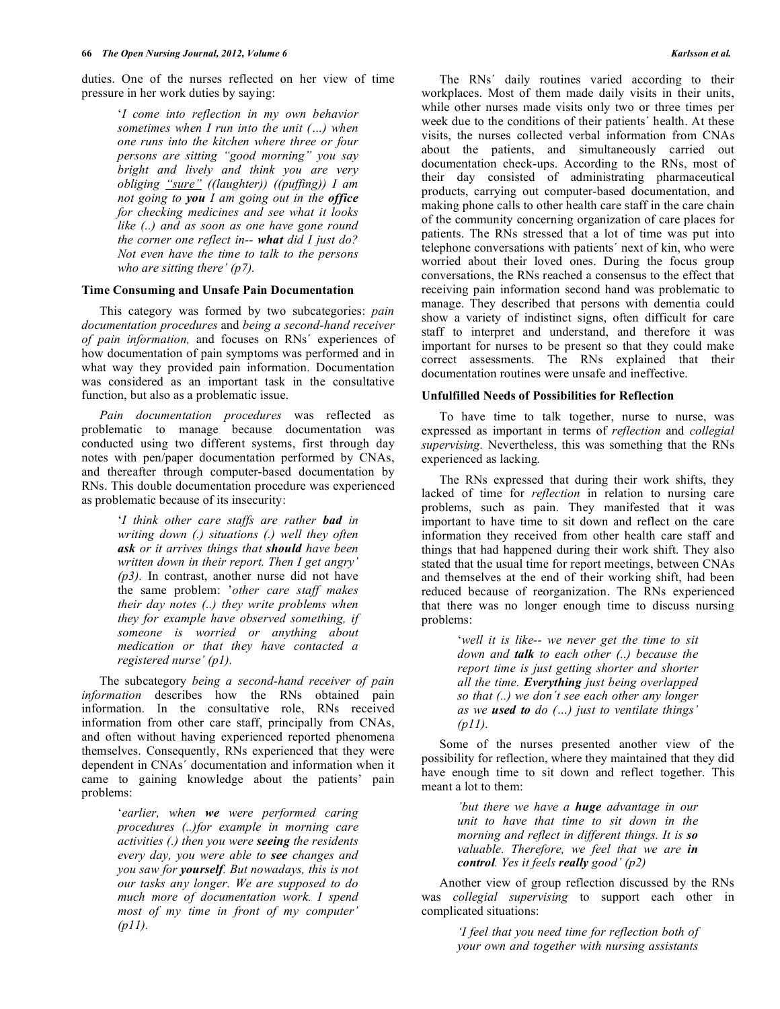duties. One of the nurses reflected on her view of time pressure in her work duties by saying:

> '*I come into reflection in my own behavior sometimes when I run into the unit (…) when one runs into the kitchen where three or four persons are sitting "good morning" you say bright and lively and think you are very obliging "sure" ((laughter)) ((puffing)) I am not going to you I am going out in the office for checking medicines and see what it looks like (..) and as soon as one have gone round the corner one reflect in-- what did I just do? Not even have the time to talk to the persons who are sitting there' (p7).*

### **Time Consuming and Unsafe Pain Documentation**

 This category was formed by two subcategories: *pain documentation procedures* and *being a second-hand receiver of pain information,* and focuses on RNs´ experiences of how documentation of pain symptoms was performed and in what way they provided pain information. Documentation was considered as an important task in the consultative function, but also as a problematic issue.

 *Pain documentation procedures* was reflected as problematic to manage because documentation was conducted using two different systems, first through day notes with pen/paper documentation performed by CNAs, and thereafter through computer-based documentation by RNs. This double documentation procedure was experienced as problematic because of its insecurity:

> '*I think other care staffs are rather bad in writing down (.) situations (.) well they often ask or it arrives things that should have been written down in their report. Then I get angry' (p3).* In contrast, another nurse did not have the same problem: '*other care staff makes their day notes (..) they write problems when they for example have observed something, if someone is worried or anything about medication or that they have contacted a registered nurse' (p1).*

 The subcategory *being a second-hand receiver of pain information* describes how the RNs obtained pain information. In the consultative role, RNs received information from other care staff, principally from CNAs, and often without having experienced reported phenomena themselves. Consequently, RNs experienced that they were dependent in CNAs´ documentation and information when it came to gaining knowledge about the patients' pain problems:

> '*earlier, when we were performed caring procedures (..)for example in morning care activities (.) then you were seeing the residents every day, you were able to see changes and you saw for yourself. But nowadays, this is not our tasks any longer. We are supposed to do much more of documentation work. I spend most of my time in front of my computer' (p11).*

 The RNs´ daily routines varied according to their workplaces. Most of them made daily visits in their units, while other nurses made visits only two or three times per week due to the conditions of their patients´ health. At these visits, the nurses collected verbal information from CNAs about the patients, and simultaneously carried out documentation check-ups. According to the RNs, most of their day consisted of administrating pharmaceutical products, carrying out computer-based documentation, and making phone calls to other health care staff in the care chain of the community concerning organization of care places for patients. The RNs stressed that a lot of time was put into telephone conversations with patients´ next of kin, who were worried about their loved ones. During the focus group conversations, the RNs reached a consensus to the effect that receiving pain information second hand was problematic to manage. They described that persons with dementia could show a variety of indistinct signs, often difficult for care staff to interpret and understand, and therefore it was important for nurses to be present so that they could make correct assessments. The RNs explained that their documentation routines were unsafe and ineffective.

#### **Unfulfilled Needs of Possibilities for Reflection**

 To have time to talk together, nurse to nurse, was expressed as important in terms of *reflection* and *collegial supervising.* Nevertheless, this was something that the RNs experienced as lacking*.*

 The RNs expressed that during their work shifts, they lacked of time for *reflection* in relation to nursing care problems, such as pain. They manifested that it was important to have time to sit down and reflect on the care information they received from other health care staff and things that had happened during their work shift. They also stated that the usual time for report meetings, between CNAs and themselves at the end of their working shift, had been reduced because of reorganization. The RNs experienced that there was no longer enough time to discuss nursing problems:

> '*well it is like-- we never get the time to sit down and talk to each other (..) because the report time is just getting shorter and shorter all the time. Everything just being overlapped so that (..) we don´t see each other any longer as we used to do (…) just to ventilate things' (p11).*

 Some of the nurses presented another view of the possibility for reflection, where they maintained that they did have enough time to sit down and reflect together. This meant a lot to them:

> *'but there we have a huge advantage in our unit to have that time to sit down in the morning and reflect in different things. It is so valuable. Therefore, we feel that we are in control. Yes it feels really good' (p2)*

 Another view of group reflection discussed by the RNs was *collegial supervising* to support each other in complicated situations:

> *'I feel that you need time for reflection both of your own and together with nursing assistants*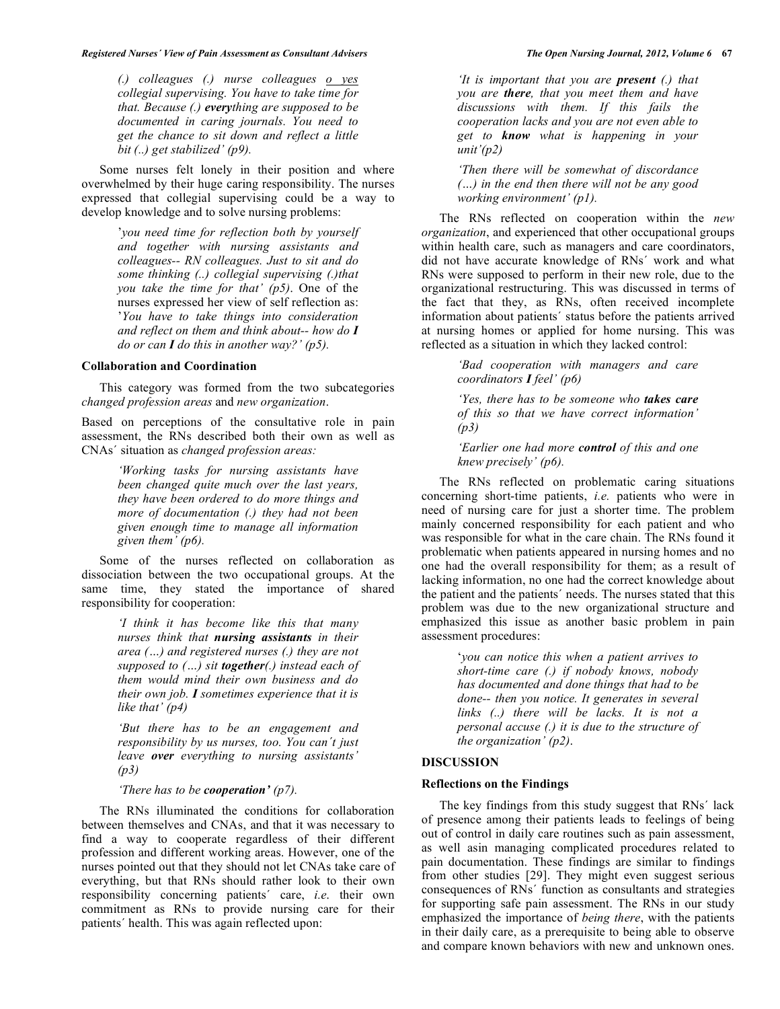*(.) colleagues (.) nurse colleagues o yes collegial supervising. You have to take time for that. Because (.) everything are supposed to be documented in caring journals. You need to get the chance to sit down and reflect a little bit (..) get stabilized' (p9).* 

 Some nurses felt lonely in their position and where overwhelmed by their huge caring responsibility. The nurses expressed that collegial supervising could be a way to develop knowledge and to solve nursing problems:

> '*you need time for reflection both by yourself and together with nursing assistants and colleagues-- RN colleagues. Just to sit and do some thinking (..) collegial supervising (.)that you take the time for that' (p5)*. One of the nurses expressed her view of self reflection as: '*You have to take things into consideration and reflect on them and think about-- how do I do or can I do this in another way?' (p5).*

### **Collaboration and Coordination**

 This category was formed from the two subcategories *changed profession areas* and *new organization*.

Based on perceptions of the consultative role in pain assessment, the RNs described both their own as well as CNAs´ situation as *changed profession areas:* 

> *'Working tasks for nursing assistants have been changed quite much over the last years, they have been ordered to do more things and more of documentation (.) they had not been given enough time to manage all information given them' (p6).*

Some of the nurses reflected on collaboration as dissociation between the two occupational groups. At the same time, they stated the importance of shared responsibility for cooperation:

> *'I think it has become like this that many nurses think that nursing assistants in their area (…) and registered nurses (.) they are not supposed to (…) sit together(.) instead each of them would mind their own business and do their own job. I sometimes experience that it is like that' (p4)*

> *'But there has to be an engagement and responsibility by us nurses, too. You can´t just leave over everything to nursing assistants' (p3)*

*'There has to be cooperation' (p7).* 

 The RNs illuminated the conditions for collaboration between themselves and CNAs, and that it was necessary to find a way to cooperate regardless of their different profession and different working areas. However, one of the nurses pointed out that they should not let CNAs take care of everything, but that RNs should rather look to their own responsibility concerning patients´ care, *i.e*. their own commitment as RNs to provide nursing care for their patients´ health. This was again reflected upon:

*'It is important that you are present (.) that you are there, that you meet them and have discussions with them. If this fails the cooperation lacks and you are not even able to get to know what is happening in your unit'(p2)* 

*'Then there will be somewhat of discordance (…) in the end then there will not be any good working environment' (p1).* 

 The RNs reflected on cooperation within the *new organization*, and experienced that other occupational groups within health care, such as managers and care coordinators, did not have accurate knowledge of RNs´ work and what RNs were supposed to perform in their new role, due to the organizational restructuring. This was discussed in terms of the fact that they, as RNs, often received incomplete information about patients´ status before the patients arrived at nursing homes or applied for home nursing. This was reflected as a situation in which they lacked control:

> *'Bad cooperation with managers and care coordinators I feel' (p6)*

> *'Yes, there has to be someone who takes care of this so that we have correct information' (p3)*

> *'Earlier one had more control of this and one knew precisely' (p6).*

 The RNs reflected on problematic caring situations concerning short-time patients, *i.e.* patients who were in need of nursing care for just a shorter time. The problem mainly concerned responsibility for each patient and who was responsible for what in the care chain. The RNs found it problematic when patients appeared in nursing homes and no one had the overall responsibility for them; as a result of lacking information, no one had the correct knowledge about the patient and the patients´ needs. The nurses stated that this problem was due to the new organizational structure and emphasized this issue as another basic problem in pain assessment procedures:

> '*you can notice this when a patient arrives to short-time care (.) if nobody knows, nobody has documented and done things that had to be done-- then you notice. It generates in several links (..) there will be lacks. It is not a personal accuse (.) it is due to the structure of the organization' (p2)*.

#### **DISCUSSION**

# **Reflections on the Findings**

 The key findings from this study suggest that RNs´ lack of presence among their patients leads to feelings of being out of control in daily care routines such as pain assessment, as well asin managing complicated procedures related to pain documentation. These findings are similar to findings from other studies [29]. They might even suggest serious consequences of RNs´ function as consultants and strategies for supporting safe pain assessment. The RNs in our study emphasized the importance of *being there*, with the patients in their daily care, as a prerequisite to being able to observe and compare known behaviors with new and unknown ones.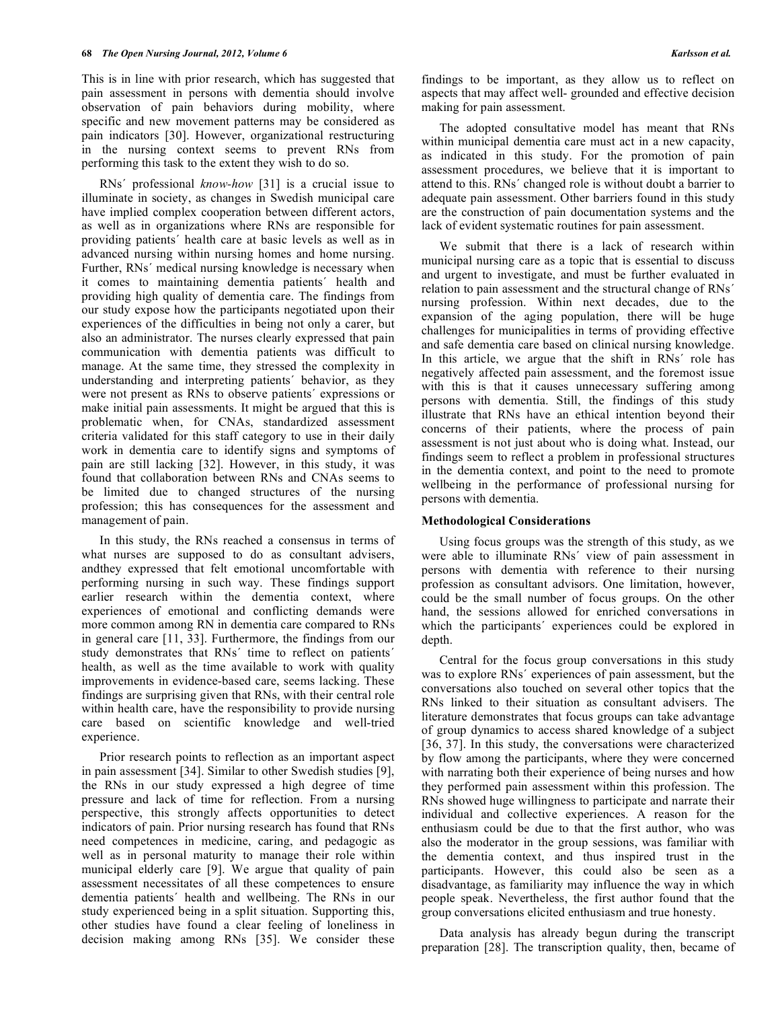This is in line with prior research, which has suggested that pain assessment in persons with dementia should involve observation of pain behaviors during mobility, where specific and new movement patterns may be considered as pain indicators [30]. However, organizational restructuring in the nursing context seems to prevent RNs from performing this task to the extent they wish to do so.

 RNs´ professional *know-how* [31] is a crucial issue to illuminate in society, as changes in Swedish municipal care have implied complex cooperation between different actors, as well as in organizations where RNs are responsible for providing patients´ health care at basic levels as well as in advanced nursing within nursing homes and home nursing. Further, RNs´ medical nursing knowledge is necessary when it comes to maintaining dementia patients´ health and providing high quality of dementia care. The findings from our study expose how the participants negotiated upon their experiences of the difficulties in being not only a carer, but also an administrator. The nurses clearly expressed that pain communication with dementia patients was difficult to manage. At the same time, they stressed the complexity in understanding and interpreting patients´ behavior, as they were not present as RNs to observe patients´ expressions or make initial pain assessments. It might be argued that this is problematic when, for CNAs, standardized assessment criteria validated for this staff category to use in their daily work in dementia care to identify signs and symptoms of pain are still lacking [32]. However, in this study, it was found that collaboration between RNs and CNAs seems to be limited due to changed structures of the nursing profession; this has consequences for the assessment and management of pain.

 In this study, the RNs reached a consensus in terms of what nurses are supposed to do as consultant advisers, andthey expressed that felt emotional uncomfortable with performing nursing in such way. These findings support earlier research within the dementia context, where experiences of emotional and conflicting demands were more common among RN in dementia care compared to RNs in general care [11, 33]. Furthermore, the findings from our study demonstrates that RNs´ time to reflect on patients´ health, as well as the time available to work with quality improvements in evidence-based care, seems lacking. These findings are surprising given that RNs, with their central role within health care, have the responsibility to provide nursing care based on scientific knowledge and well-tried experience.

 Prior research points to reflection as an important aspect in pain assessment [34]. Similar to other Swedish studies [9], the RNs in our study expressed a high degree of time pressure and lack of time for reflection. From a nursing perspective, this strongly affects opportunities to detect indicators of pain. Prior nursing research has found that RNs need competences in medicine, caring, and pedagogic as well as in personal maturity to manage their role within municipal elderly care [9]. We argue that quality of pain assessment necessitates of all these competences to ensure dementia patients´ health and wellbeing. The RNs in our study experienced being in a split situation. Supporting this, other studies have found a clear feeling of loneliness in decision making among RNs [35]. We consider these

findings to be important, as they allow us to reflect on aspects that may affect well- grounded and effective decision making for pain assessment.

 The adopted consultative model has meant that RNs within municipal dementia care must act in a new capacity, as indicated in this study. For the promotion of pain assessment procedures, we believe that it is important to attend to this. RNs´ changed role is without doubt a barrier to adequate pain assessment. Other barriers found in this study are the construction of pain documentation systems and the lack of evident systematic routines for pain assessment.

 We submit that there is a lack of research within municipal nursing care as a topic that is essential to discuss and urgent to investigate, and must be further evaluated in relation to pain assessment and the structural change of RNs´ nursing profession. Within next decades, due to the expansion of the aging population, there will be huge challenges for municipalities in terms of providing effective and safe dementia care based on clinical nursing knowledge. In this article, we argue that the shift in RNs´ role has negatively affected pain assessment, and the foremost issue with this is that it causes unnecessary suffering among persons with dementia. Still, the findings of this study illustrate that RNs have an ethical intention beyond their concerns of their patients, where the process of pain assessment is not just about who is doing what. Instead, our findings seem to reflect a problem in professional structures in the dementia context, and point to the need to promote wellbeing in the performance of professional nursing for persons with dementia.

#### **Methodological Considerations**

 Using focus groups was the strength of this study, as we were able to illuminate RNs´ view of pain assessment in persons with dementia with reference to their nursing profession as consultant advisors. One limitation, however, could be the small number of focus groups. On the other hand, the sessions allowed for enriched conversations in which the participants´ experiences could be explored in depth.

 Central for the focus group conversations in this study was to explore RNs´ experiences of pain assessment, but the conversations also touched on several other topics that the RNs linked to their situation as consultant advisers. The literature demonstrates that focus groups can take advantage of group dynamics to access shared knowledge of a subject [36, 37]. In this study, the conversations were characterized by flow among the participants, where they were concerned with narrating both their experience of being nurses and how they performed pain assessment within this profession. The RNs showed huge willingness to participate and narrate their individual and collective experiences. A reason for the enthusiasm could be due to that the first author, who was also the moderator in the group sessions, was familiar with the dementia context, and thus inspired trust in the participants. However, this could also be seen as a disadvantage, as familiarity may influence the way in which people speak. Nevertheless, the first author found that the group conversations elicited enthusiasm and true honesty.

 Data analysis has already begun during the transcript preparation [28]. The transcription quality, then, became of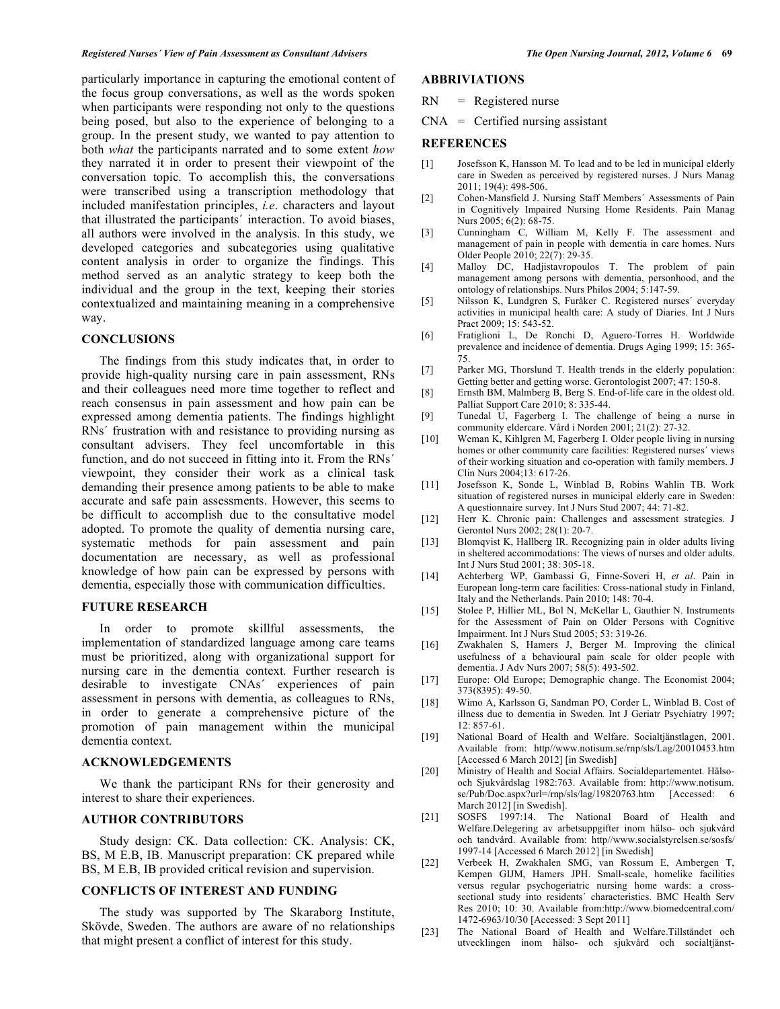particularly importance in capturing the emotional content of the focus group conversations, as well as the words spoken when participants were responding not only to the questions being posed, but also to the experience of belonging to a group. In the present study, we wanted to pay attention to both *what* the participants narrated and to some extent *how* they narrated it in order to present their viewpoint of the conversation topic. To accomplish this, the conversations were transcribed using a transcription methodology that included manifestation principles, *i.e*. characters and layout that illustrated the participants´ interaction. To avoid biases, all authors were involved in the analysis. In this study, we developed categories and subcategories using qualitative content analysis in order to organize the findings. This method served as an analytic strategy to keep both the individual and the group in the text, keeping their stories contextualized and maintaining meaning in a comprehensive way.

#### **CONCLUSIONS**

 The findings from this study indicates that, in order to provide high-quality nursing care in pain assessment, RNs and their colleagues need more time together to reflect and reach consensus in pain assessment and how pain can be expressed among dementia patients. The findings highlight RNs´ frustration with and resistance to providing nursing as consultant advisers. They feel uncomfortable in this function, and do not succeed in fitting into it. From the RNs<sup>'</sup> viewpoint, they consider their work as a clinical task demanding their presence among patients to be able to make accurate and safe pain assessments. However, this seems to be difficult to accomplish due to the consultative model adopted. To promote the quality of dementia nursing care, systematic methods for pain assessment and pain documentation are necessary, as well as professional knowledge of how pain can be expressed by persons with dementia, especially those with communication difficulties.

#### **FUTURE RESEARCH**

 In order to promote skillful assessments, the implementation of standardized language among care teams must be prioritized, along with organizational support for nursing care in the dementia context. Further research is desirable to investigate CNAs´ experiences of pain assessment in persons with dementia, as colleagues to RNs, in order to generate a comprehensive picture of the promotion of pain management within the municipal dementia context.

#### **ACKNOWLEDGEMENTS**

 We thank the participant RNs for their generosity and interest to share their experiences.

## **AUTHOR CONTRIBUTORS**

 Study design: CK. Data collection: CK. Analysis: CK, BS, M E.B, IB. Manuscript preparation: CK prepared while BS, M E.B, IB provided critical revision and supervision.

#### **CONFLICTS OF INTEREST AND FUNDING**

 The study was supported by The Skaraborg Institute, Skövde, Sweden. The authors are aware of no relationships that might present a conflict of interest for this study.

# **ABBRIVIATIONS**

- RN = Registered nurse
- $CNA$  = Certified nursing assistant

#### **REFERENCES**

- [1] Josefsson K, Hansson M. To lead and to be led in municipal elderly care in Sweden as perceived by registered nurses. J Nurs Manag 2011; 19(4): 498-506.
- [2] Cohen-Mansfield J. Nursing Staff Members´ Assessments of Pain in Cognitively Impaired Nursing Home Residents. Pain Manag Nurs 2005; 6(2): 68-75.
- [3] Cunningham C, William M, Kelly F. The assessment and management of pain in people with dementia in care homes. Nurs Older People 2010; 22(7): 29-35.
- [4] Malloy DC, Hadjistavropoulos T. The problem of pain management among persons with dementia, personhood, and the ontology of relationships. Nurs Philos 2004; 5:147-59.
- [5] Nilsson K, Lundgren S, Furåker C. Registered nurses´ everyday activities in municipal health care: A study of Diaries. Int J Nurs Pract 2009; 15: 543-52.
- [6] Fratiglioni L, De Ronchi D, Aguero-Torres H. Worldwide prevalence and incidence of dementia. Drugs Aging 1999; 15: 365- 75.
- [7] Parker MG, Thorslund T. Health trends in the elderly population: Getting better and getting worse. Gerontologist 2007; 47: 150-8.
- [8] Ernsth BM, Malmberg B, Berg S. End-of-life care in the oldest old. Palliat Support Care 2010; 8: 335-44.
- [9] Tunedal U, Fagerberg I. The challenge of being a nurse in community eldercare. Vård i Norden 2001; 21(2): 27-32.
- [10] Weman K, Kihlgren M, Fagerberg I. Older people living in nursing homes or other community care facilities: Registered nurses´ views of their working situation and co-operation with family members. J Clin Nurs 2004;13: 617-26.
- [11] Josefsson K, Sonde L, Winblad B, Robins Wahlin TB. Work situation of registered nurses in municipal elderly care in Sweden: A questionnaire survey. Int J Nurs Stud 2007; 44: 71-82.
- [12] Herr K. Chronic pain: Challenges and assessment strategies*.* J Gerontol Nurs 2002; 28(1): 20-7.
- [13] Blomqvist K, Hallberg IR. Recognizing pain in older adults living in sheltered accommodations: The views of nurses and older adults. Int J Nurs Stud 2001; 38: 305-18.
- [14] Achterberg WP, Gambassi G, Finne-Soveri H, *et al*. Pain in European long-term care facilities: Cross-national study in Finland, Italy and the Netherlands. Pain 2010; 148: 70-4.
- [15] Stolee P, Hillier ML, Bol N, McKellar L, Gauthier N. Instruments for the Assessment of Pain on Older Persons with Cognitive Impairment. Int J Nurs Stud 2005; 53: 319-26.
- [16] Zwakhalen S, Hamers J, Berger M. Improving the clinical usefulness of a behavioural pain scale for older people with dementia. J Adv Nurs 2007; 58(5): 493-502.
- [17] Europe: Old Europe; Demographic change. The Economist 2004; 373(8395): 49-50.
- [18] Wimo A, Karlsson G, Sandman PO, Corder L, Winblad B. Cost of illness due to dementia in Sweden*.* Int J Geriatr Psychiatry 1997; 12: 857-61.
- [19] National Board of Health and Welfare. Socialtjänstlagen, 2001. Available from: http//www.notisum.se/rnp/sls/Lag/20010453.htm [Accessed 6 March 2012] [in Swedish]
- [20] Ministry of Health and Social Affairs. Socialdepartementet. Hälsooch Sjukvårdslag 1982:763. Available from: http://www.notisum. se/Pub/Doc.aspx?url=/rnp/sls/lag/19820763.htm [Accessed: 6 March 2012] [in Swedish].
- [21] SOSFS 1997:14. The National Board of Health and Welfare.Delegering av arbetsuppgifter inom hälso- och sjukvård och tandvård. Available from: http//www.socialstyrelsen.se/sosfs/ 1997-14 [Accessed 6 March 2012] [in Swedish]
- [22] Verbeek H, Zwakhalen SMG, van Rossum E, Ambergen T, Kempen GIJM, Hamers JPH. Small-scale, homelike facilities versus regular psychogeriatric nursing home wards: a crosssectional study into residents´ characteristics. BMC Health Serv Res 2010; 10: 30. Available from:http://www.biomedcentral.com/ 1472-6963/10/30 [Accessed: 3 Sept 2011]
- [23] The National Board of Health and Welfare.Tillståndet och utvecklingen inom hälso- och sjukvård och socialtjänst-